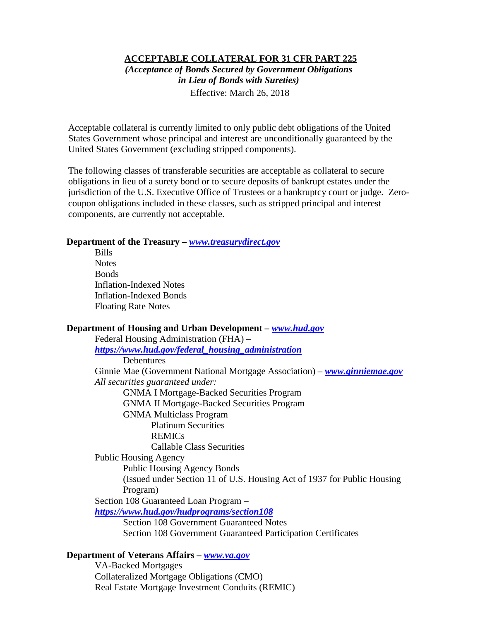#### **ACCEPTABLE COLLATERAL FOR 31 CFR PART 225**

*(Acceptance of Bonds Secured by Government Obligations in Lieu of Bonds with Sureties)*

Effective: March 26, 2018

Acceptable collateral is currently limited to only public debt obligations of the United States Government whose principal and interest are unconditionally guaranteed by the United States Government (excluding stripped components).

The following classes of transferable securities are acceptable as collateral to secure obligations in lieu of a surety bond or to secure deposits of bankrupt estates under the jurisdiction of the U.S. Executive Office of Trustees or a bankruptcy court or judge. Zerocoupon obligations included in these classes, such as stripped principal and interest components, are currently not acceptable.

#### **Department of the Treasury –** *[www.treasurydirect.gov](http://www.treasurydirect.gov/)*

Bills **Notes Bonds** Inflation-Indexed Notes Inflation-Indexed Bonds Floating Rate Notes

#### **Department of Housing and Urban Development –** *[www.hud.gov](http://www.hud.gov/)*

Federal Housing Administration (FHA) – *[https://www.hud.gov/federal\\_housing\\_administration](https://www.hud.gov/federal_housing_administration)* **Debentures** Ginnie Mae (Government National Mortgage Association) – *[www.ginniemae.gov](http://www.ginniemae.gov/) All securities guaranteed under:*  GNMA I Mortgage-Backed Securities Program GNMA II Mortgage-Backed Securities Program GNMA Multiclass Program Platinum Securities REMICs Callable Class Securities Public Housing Agency Public Housing Agency Bonds (Issued under Section 11 of U.S. Housing Act of 1937 for Public Housing Program) Section 108 Guaranteed Loan Program – *<https://www.hud.gov/hudprograms/section108>* Section 108 Government Guaranteed Notes Section 108 Government Guaranteed Participation Certificates **Department of Veterans Affairs –** *[www.va.gov](http://www.va.gov/)*

VA-Backed Mortgages Collateralized Mortgage Obligations (CMO) Real Estate Mortgage Investment Conduits (REMIC)